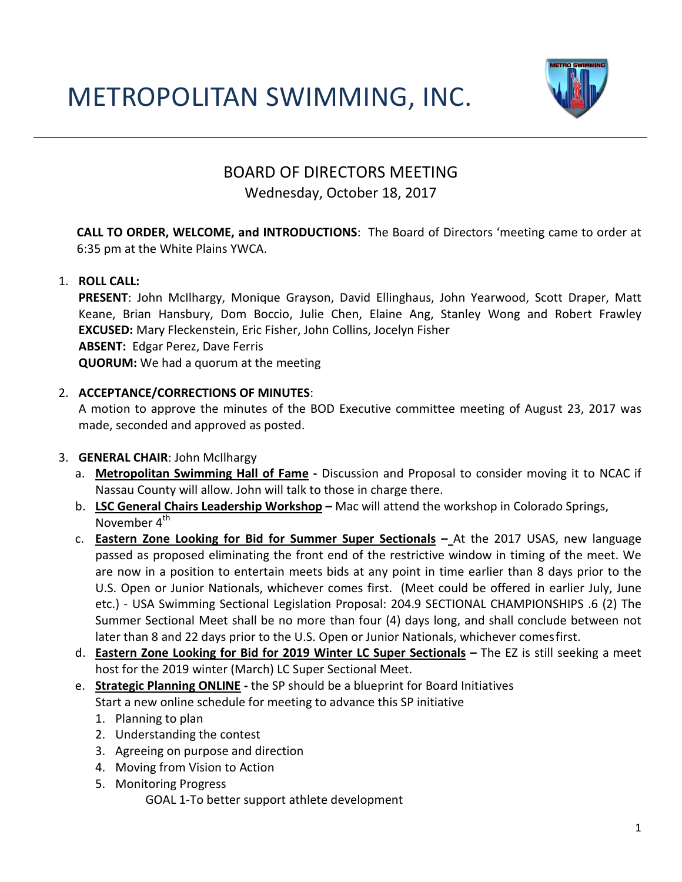# METROPOLITAN SWIMMING, INC.



# BOARD OF DIRECTORS MEETING

### Wednesday, October 18, 2017

**CALL TO ORDER, WELCOME, and INTRODUCTIONS**: The Board of Directors 'meeting came to order at 6:35 pm at the White Plains YWCA.

#### 1. **ROLL CALL:**

**PRESENT**: John McIlhargy, Monique Grayson, David Ellinghaus, John Yearwood, Scott Draper, Matt Keane, Brian Hansbury, Dom Boccio, Julie Chen, Elaine Ang, Stanley Wong and Robert Frawley **EXCUSED:** Mary Fleckenstein, Eric Fisher, John Collins, Jocelyn Fisher **ABSENT:** Edgar Perez, Dave Ferris **QUORUM:** We had a quorum at the meeting

#### 2. **ACCEPTANCE/CORRECTIONS OF MINUTES**:

A motion to approve the minutes of the BOD Executive committee meeting of August 23, 2017 was made, seconded and approved as posted.

#### 3. **GENERAL CHAIR**: John McIlhargy

- a. **Metropolitan Swimming Hall of Fame -** Discussion and Proposal to consider moving it to NCAC if Nassau County will allow. John will talk to those in charge there.
- b. **LSC General Chairs Leadership Workshop –** Mac will attend the workshop in Colorado Springs, November 4<sup>th</sup>
- c. **Eastern Zone Looking for Bid for Summer Super Sectionals –** At the 2017 USAS, new language passed as proposed eliminating the front end of the restrictive window in timing of the meet. We are now in a position to entertain meets bids at any point in time earlier than 8 days prior to the U.S. Open or Junior Nationals, whichever comes first. (Meet could be offered in earlier July, June etc.) - USA Swimming Sectional Legislation Proposal: 204.9 SECTIONAL CHAMPIONSHIPS .6 (2) The Summer Sectional Meet shall be no more than four (4) days long, and shall conclude between not later than 8 and 22 days prior to the U.S. Open or Junior Nationals, whichever comesfirst.
- d. **Eastern Zone Looking for Bid for 2019 Winter LC Super Sectionals –** The EZ is still seeking a meet host for the 2019 winter (March) LC Super Sectional Meet.
- e. **Strategic Planning ONLINE -** the SP should be a blueprint for Board Initiatives Start a new online schedule for meeting to advance this SP initiative
	- 1. Planning to plan
	- 2. Understanding the contest
	- 3. Agreeing on purpose and direction
	- 4. Moving from Vision to Action
	- 5. Monitoring Progress
		- GOAL 1-To better support athlete development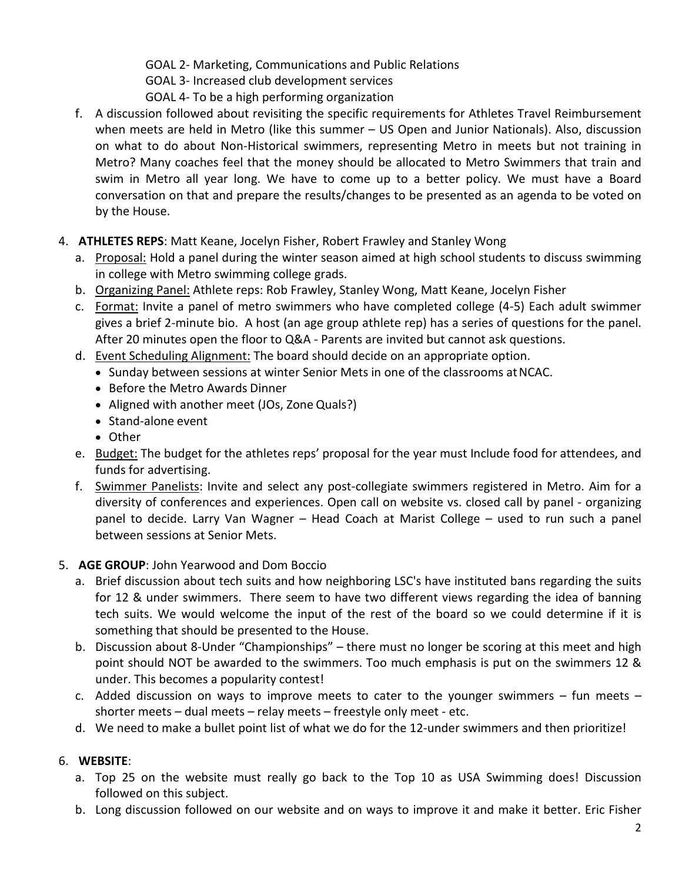GOAL 2- Marketing, Communications and Public Relations GOAL 3- Increased club development services GOAL 4- To be a high performing organization

- f. A discussion followed about revisiting the specific requirements for Athletes Travel Reimbursement when meets are held in Metro (like this summer – US Open and Junior Nationals). Also, discussion on what to do about Non-Historical swimmers, representing Metro in meets but not training in Metro? Many coaches feel that the money should be allocated to Metro Swimmers that train and swim in Metro all year long. We have to come up to a better policy. We must have a Board conversation on that and prepare the results/changes to be presented as an agenda to be voted on by the House.
- 4. **ATHLETES REPS**: Matt Keane, Jocelyn Fisher, Robert Frawley and Stanley Wong
	- a. Proposal: Hold a panel during the winter season aimed at high school students to discuss swimming in college with Metro swimming college grads.
	- b. Organizing Panel: Athlete reps: Rob Frawley, Stanley Wong, Matt Keane, Jocelyn Fisher
	- c. Format: Invite a panel of metro swimmers who have completed college (4-5) Each adult swimmer gives a brief 2-minute bio. A host (an age group athlete rep) has a series of questions for the panel. After 20 minutes open the floor to Q&A - Parents are invited but cannot ask questions.
	- d. Event Scheduling Alignment: The board should decide on an appropriate option.
		- Sunday between sessions at winter Senior Mets in one of the classrooms at NCAC.
		- Before the Metro Awards Dinner
		- Aligned with another meet (JOs, Zone Quals?)
		- Stand-alone event
		- Other
	- e. Budget: The budget for the athletes reps' proposal for the year must Include food for attendees, and funds for advertising.
	- f. Swimmer Panelists: Invite and select any post-collegiate swimmers registered in Metro. Aim for a diversity of conferences and experiences. Open call on website vs. closed call by panel - organizing panel to decide. Larry Van Wagner – Head Coach at Marist College – used to run such a panel between sessions at Senior Mets.

# 5. **AGE GROUP**: John Yearwood and Dom Boccio

- a. Brief discussion about tech suits and how neighboring LSC's have instituted bans regarding the suits for 12 & under swimmers. There seem to have two different views regarding the idea of banning tech suits. We would welcome the input of the rest of the board so we could determine if it is something that should be presented to the House.
- b. Discussion about 8-Under "Championships" there must no longer be scoring at this meet and high point should NOT be awarded to the swimmers. Too much emphasis is put on the swimmers 12 & under. This becomes a popularity contest!
- c. Added discussion on ways to improve meets to cater to the younger swimmers  $-$  fun meets  $$ shorter meets – dual meets – relay meets – freestyle only meet - etc.
- d. We need to make a bullet point list of what we do for the 12-under swimmers and then prioritize!

# 6. **WEBSITE**:

- a. Top 25 on the website must really go back to the Top 10 as USA Swimming does! Discussion followed on this subject.
- b. Long discussion followed on our website and on ways to improve it and make it better. Eric Fisher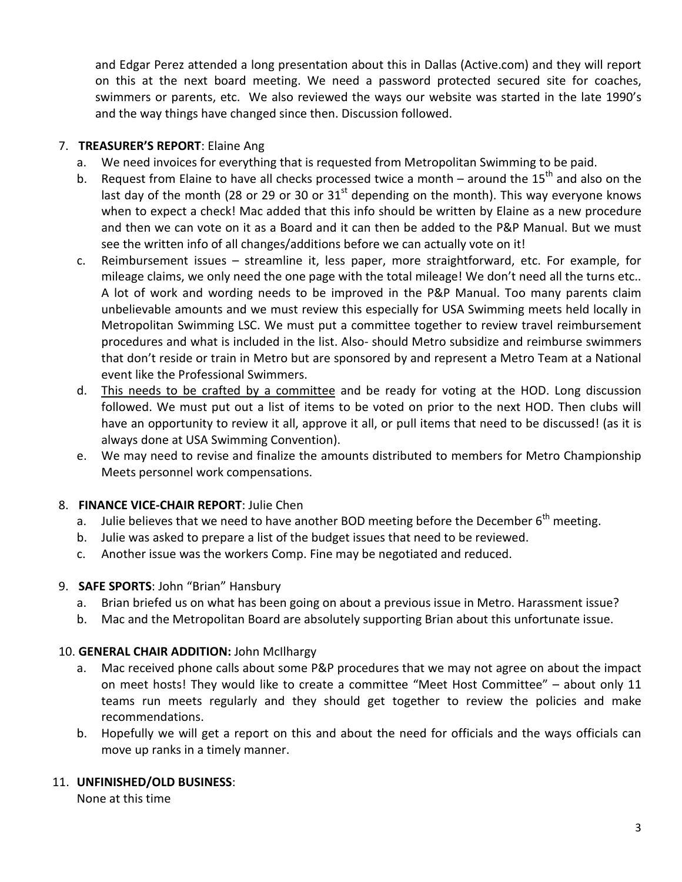and Edgar Perez attended a long presentation about this in Dallas (Active.com) and they will report on this at the next board meeting. We need a password protected secured site for coaches, swimmers or parents, etc. We also reviewed the ways our website was started in the late 1990's and the way things have changed since then. Discussion followed.

#### 7. **TREASURER'S REPORT**: Elaine Ang

- a. We need invoices for everything that is requested from Metropolitan Swimming to be paid.
- b. Request from Elaine to have all checks processed twice a month around the 15<sup>th</sup> and also on the last day of the month (28 or 29 or 30 or  $31<sup>st</sup>$  depending on the month). This way everyone knows when to expect a check! Mac added that this info should be written by Elaine as a new procedure and then we can vote on it as a Board and it can then be added to the P&P Manual. But we must see the written info of all changes/additions before we can actually vote on it!
- c. Reimbursement issues streamline it, less paper, more straightforward, etc. For example, for mileage claims, we only need the one page with the total mileage! We don't need all the turns etc.. A lot of work and wording needs to be improved in the P&P Manual. Too many parents claim unbelievable amounts and we must review this especially for USA Swimming meets held locally in Metropolitan Swimming LSC. We must put a committee together to review travel reimbursement procedures and what is included in the list. Also- should Metro subsidize and reimburse swimmers that don't reside or train in Metro but are sponsored by and represent a Metro Team at a National event like the Professional Swimmers.
- d. This needs to be crafted by a committee and be ready for voting at the HOD. Long discussion followed. We must put out a list of items to be voted on prior to the next HOD. Then clubs will have an opportunity to review it all, approve it all, or pull items that need to be discussed! (as it is always done at USA Swimming Convention).
- e. We may need to revise and finalize the amounts distributed to members for Metro Championship Meets personnel work compensations.

#### 8. **FINANCE VICE-CHAIR REPORT**: Julie Chen

- a. Julie believes that we need to have another BOD meeting before the December  $6<sup>th</sup>$  meeting.
- b. Julie was asked to prepare a list of the budget issues that need to be reviewed.
- c. Another issue was the workers Comp. Fine may be negotiated and reduced.

#### 9. **SAFE SPORTS**: John "Brian" Hansbury

- a. Brian briefed us on what has been going on about a previous issue in Metro. Harassment issue?
- b. Mac and the Metropolitan Board are absolutely supporting Brian about this unfortunate issue.

#### 10. **GENERAL CHAIR ADDITION:** John McIlhargy

- a. Mac received phone calls about some P&P procedures that we may not agree on about the impact on meet hosts! They would like to create a committee "Meet Host Committee" – about only 11 teams run meets regularly and they should get together to review the policies and make recommendations.
- b. Hopefully we will get a report on this and about the need for officials and the ways officials can move up ranks in a timely manner.

#### 11. **UNFINISHED/OLD BUSINESS**:

None at this time